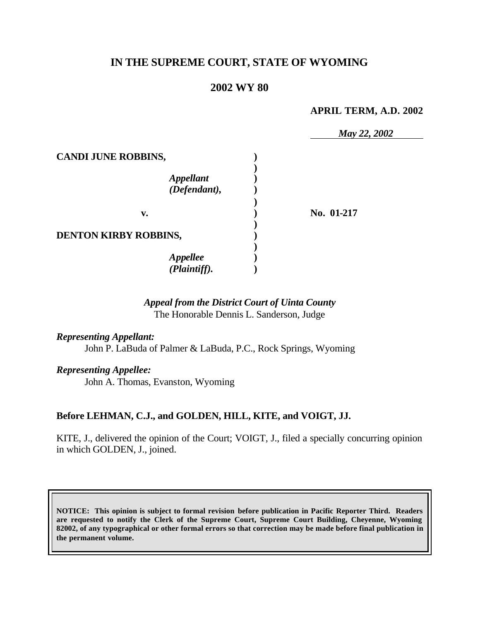# **IN THE SUPREME COURT, STATE OF WYOMING**

# **2002 WY 80**

### **APRIL TERM, A.D. 2002**

|                              | May 22, 2002 |
|------------------------------|--------------|
| <b>CANDI JUNE ROBBINS,</b>   |              |
| Appellant<br>(Defendant),    |              |
|                              |              |
| v.                           | No. 01-217   |
| <b>DENTON KIRBY ROBBINS,</b> |              |
|                              |              |
| <b>Appellee</b>              |              |
| (Plaintiff).                 |              |

# *Appeal from the District Court of Uinta County* The Honorable Dennis L. Sanderson, Judge

### *Representing Appellant:*

John P. LaBuda of Palmer & LaBuda, P.C., Rock Springs, Wyoming

#### *Representing Appellee:*

John A. Thomas, Evanston, Wyoming

## **Before LEHMAN, C.J., and GOLDEN, HILL, KITE, and VOIGT, JJ.**

KITE, J., delivered the opinion of the Court; VOIGT, J., filed a specially concurring opinion in which GOLDEN, J., joined.

**NOTICE: This opinion is subject to formal revision before publication in Pacific Reporter Third. Readers are requested to notify the Clerk of the Supreme Court, Supreme Court Building, Cheyenne, Wyoming 82002, of any typographical or other formal errors so that correction may be made before final publication in the permanent volume.**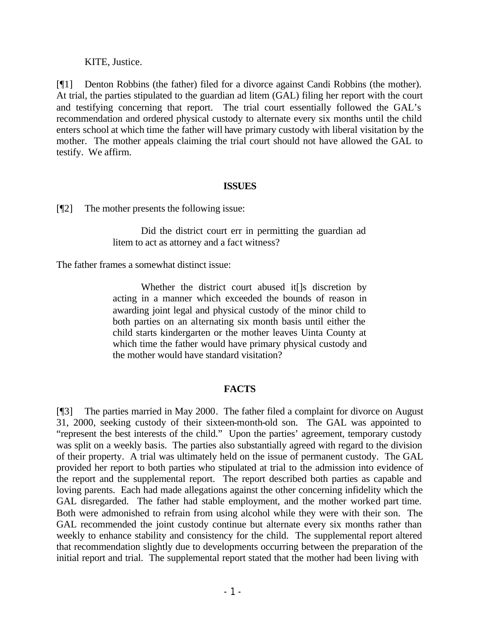## KITE, Justice.

[¶1] Denton Robbins (the father) filed for a divorce against Candi Robbins (the mother). At trial, the parties stipulated to the guardian ad litem (GAL) filing her report with the court and testifying concerning that report. The trial court essentially followed the GAL's recommendation and ordered physical custody to alternate every six months until the child enters school at which time the father will have primary custody with liberal visitation by the mother. The mother appeals claiming the trial court should not have allowed the GAL to testify. We affirm.

### **ISSUES**

[¶2] The mother presents the following issue:

Did the district court err in permitting the guardian ad litem to act as attorney and a fact witness?

The father frames a somewhat distinct issue:

Whether the district court abused it[]s discretion by acting in a manner which exceeded the bounds of reason in awarding joint legal and physical custody of the minor child to both parties on an alternating six month basis until either the child starts kindergarten or the mother leaves Uinta County at which time the father would have primary physical custody and the mother would have standard visitation?

## **FACTS**

[¶3] The parties married in May 2000. The father filed a complaint for divorce on August 31, 2000, seeking custody of their sixteen-month-old son. The GAL was appointed to "represent the best interests of the child." Upon the parties' agreement, temporary custody was split on a weekly basis. The parties also substantially agreed with regard to the division of their property. A trial was ultimately held on the issue of permanent custody. The GAL provided her report to both parties who stipulated at trial to the admission into evidence of the report and the supplemental report. The report described both parties as capable and loving parents. Each had made allegations against the other concerning infidelity which the GAL disregarded. The father had stable employment, and the mother worked part time. Both were admonished to refrain from using alcohol while they were with their son. The GAL recommended the joint custody continue but alternate every six months rather than weekly to enhance stability and consistency for the child. The supplemental report altered that recommendation slightly due to developments occurring between the preparation of the initial report and trial. The supplemental report stated that the mother had been living with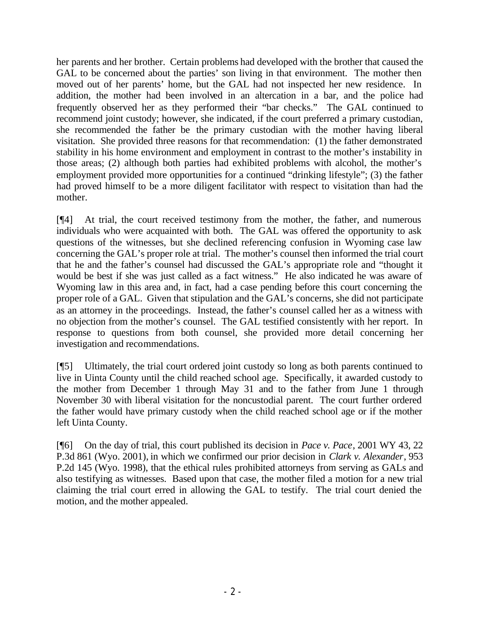her parents and her brother. Certain problems had developed with the brother that caused the GAL to be concerned about the parties' son living in that environment. The mother then moved out of her parents' home, but the GAL had not inspected her new residence. In addition, the mother had been involved in an altercation in a bar, and the police had frequently observed her as they performed their "bar checks." The GAL continued to recommend joint custody; however, she indicated, if the court preferred a primary custodian, she recommended the father be the primary custodian with the mother having liberal visitation. She provided three reasons for that recommendation: (1) the father demonstrated stability in his home environment and employment in contrast to the mother's instability in those areas; (2) although both parties had exhibited problems with alcohol, the mother's employment provided more opportunities for a continued "drinking lifestyle"; (3) the father had proved himself to be a more diligent facilitator with respect to visitation than had the mother.

[¶4] At trial, the court received testimony from the mother, the father, and numerous individuals who were acquainted with both. The GAL was offered the opportunity to ask questions of the witnesses, but she declined referencing confusion in Wyoming case law concerning the GAL's proper role at trial. The mother's counsel then informed the trial court that he and the father's counsel had discussed the GAL's appropriate role and "thought it would be best if she was just called as a fact witness." He also indicated he was aware of Wyoming law in this area and, in fact, had a case pending before this court concerning the proper role of a GAL. Given that stipulation and the GAL's concerns, she did not participate as an attorney in the proceedings. Instead, the father's counsel called her as a witness with no objection from the mother's counsel. The GAL testified consistently with her report. In response to questions from both counsel, she provided more detail concerning her investigation and recommendations.

[¶5] Ultimately, the trial court ordered joint custody so long as both parents continued to live in Uinta County until the child reached school age. Specifically, it awarded custody to the mother from December 1 through May 31 and to the father from June 1 through November 30 with liberal visitation for the noncustodial parent. The court further ordered the father would have primary custody when the child reached school age or if the mother left Uinta County.

[¶6] On the day of trial, this court published its decision in *Pace v. Pace*, 2001 WY 43, 22 P.3d 861 (Wyo. 2001), in which we confirmed our prior decision in *Clark v. Alexander*, 953 P.2d 145 (Wyo. 1998), that the ethical rules prohibited attorneys from serving as GALs and also testifying as witnesses. Based upon that case, the mother filed a motion for a new trial claiming the trial court erred in allowing the GAL to testify. The trial court denied the motion, and the mother appealed.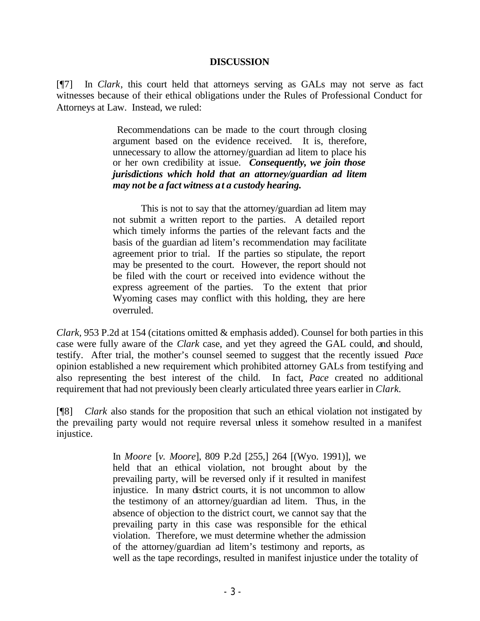#### **DISCUSSION**

[¶7] In *Clark*, this court held that attorneys serving as GALs may not serve as fact witnesses because of their ethical obligations under the Rules of Professional Conduct for Attorneys at Law. Instead, we ruled:

> Recommendations can be made to the court through closing argument based on the evidence received. It is, therefore, unnecessary to allow the attorney/guardian ad litem to place his or her own credibility at issue. *Consequently, we join those jurisdictions which hold that an attorney/guardian ad litem may not be a fact witness at a custody hearing.*

> This is not to say that the attorney/guardian ad litem may not submit a written report to the parties. A detailed report which timely informs the parties of the relevant facts and the basis of the guardian ad litem's recommendation may facilitate agreement prior to trial. If the parties so stipulate, the report may be presented to the court. However, the report should not be filed with the court or received into evidence without the express agreement of the parties. To the extent that prior Wyoming cases may conflict with this holding, they are here overruled.

*Clark,* 953 P.2d at 154 (citations omitted & emphasis added). Counsel for both parties in this case were fully aware of the *Clark* case, and yet they agreed the GAL could, and should, testify. After trial, the mother's counsel seemed to suggest that the recently issued *Pace* opinion established a new requirement which prohibited attorney GALs from testifying and also representing the best interest of the child. In fact, *Pace* created no additional requirement that had not previously been clearly articulated three years earlier in *Clark.*

[¶8] *Clark* also stands for the proposition that such an ethical violation not instigated by the prevailing party would not require reversal unless it somehow resulted in a manifest injustice.

> In *Moore* [*v. Moore*], 809 P.2d [255,] 264 [(Wyo. 1991)], we held that an ethical violation, not brought about by the prevailing party, will be reversed only if it resulted in manifest injustice. In many district courts, it is not uncommon to allow the testimony of an attorney/guardian ad litem. Thus, in the absence of objection to the district court, we cannot say that the prevailing party in this case was responsible for the ethical violation. Therefore, we must determine whether the admission of the attorney/guardian ad litem's testimony and reports, as well as the tape recordings, resulted in manifest injustice under the totality of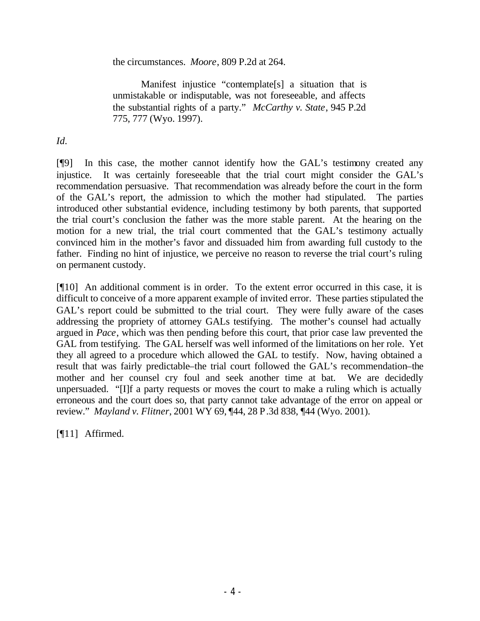the circumstances. *Moore*, 809 P.2d at 264.

Manifest injustice "contemplate[s] a situation that is unmistakable or indisputable, was not foreseeable, and affects the substantial rights of a party." *McCarthy v. State*, 945 P.2d 775, 777 (Wyo. 1997).

*Id.*

[¶9] In this case, the mother cannot identify how the GAL's testimony created any injustice. It was certainly foreseeable that the trial court might consider the GAL's recommendation persuasive. That recommendation was already before the court in the form of the GAL's report, the admission to which the mother had stipulated. The parties introduced other substantial evidence, including testimony by both parents, that supported the trial court's conclusion the father was the more stable parent. At the hearing on the motion for a new trial, the trial court commented that the GAL's testimony actually convinced him in the mother's favor and dissuaded him from awarding full custody to the father. Finding no hint of injustice, we perceive no reason to reverse the trial court's ruling on permanent custody.

[¶10] An additional comment is in order. To the extent error occurred in this case, it is difficult to conceive of a more apparent example of invited error. These parties stipulated the GAL's report could be submitted to the trial court. They were fully aware of the cases addressing the propriety of attorney GALs testifying. The mother's counsel had actually argued in *Pace*, which was then pending before this court, that prior case law prevented the GAL from testifying. The GAL herself was well informed of the limitations on her role. Yet they all agreed to a procedure which allowed the GAL to testify. Now, having obtained a result that was fairly predictable–the trial court followed the GAL's recommendation–the mother and her counsel cry foul and seek another time at bat. We are decidedly unpersuaded. "[I]f a party requests or moves the court to make a ruling which is actually erroneous and the court does so, that party cannot take advantage of the error on appeal or review." *Mayland v. Flitner*, 2001 WY 69, ¶44, 28 P.3d 838, ¶44 (Wyo. 2001).

[¶11] Affirmed.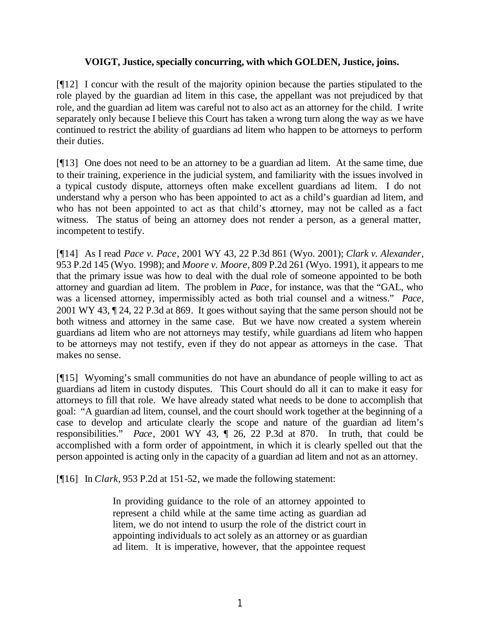## **VOIGT, Justice, specially concurring, with which GOLDEN, Justice, joins.**

[¶12] I concur with the result of the majority opinion because the parties stipulated to the role played by the guardian ad litem in this case, the appellant was not prejudiced by that role, and the guardian ad litem was careful not to also act as an attorney for the child. I write separately only because I believe this Court has taken a wrong turn along the way as we have continued to restrict the ability of guardians ad litem who happen to be attorneys to perform their duties.

[¶13] One does not need to be an attorney to be a guardian ad litem. At the same time, due to their training, experience in the judicial system, and familiarity with the issues involved in a typical custody dispute, attorneys often make excellent guardians ad litem. I do not understand why a person who has been appointed to act as a child's guardian ad litem, and who has not been appointed to act as that child's attorney, may not be called as a fact witness. The status of being an attorney does not render a person, as a general matter, incompetent to testify.

[¶14] As I read *Pace v. Pace*, 2001 WY 43, 22 P.3d 861 (Wyo. 2001); *Clark v. Alexander*, 953 P.2d 145 (Wyo. 1998); and *Moore v. Moore*, 809 P.2d 261 (Wyo. 1991), it appears to me that the primary issue was how to deal with the dual role of someone appointed to be both attorney and guardian ad litem. The problem in *Pace*, for instance, was that the "GAL, who was a licensed attorney, impermissibly acted as both trial counsel and a witness." *Pace*, 2001 WY 43, ¶ 24, 22 P.3d at 869. It goes without saying that the same person should not be both witness and attorney in the same case. But we have now created a system wherein guardians ad litem who are not attorneys may testify, while guardians ad litem who happen to be attorneys may not testify, even if they do not appear as attorneys in the case. That makes no sense.

[¶15] Wyoming's small communities do not have an abundance of people willing to act as guardians ad litem in custody disputes. This Court should do all it can to make it easy for attorneys to fill that role. We have already stated what needs to be done to accomplish that goal: "A guardian ad litem, counsel, and the court should work together at the beginning of a case to develop and articulate clearly the scope and nature of the guardian ad litem's responsibilities." *Pace*, 2001 WY 43, ¶ 26, 22 P.3d at 870. In truth, that could be accomplished with a form order of appointment, in which it is clearly spelled out that the person appointed is acting only in the capacity of a guardian ad litem and not as an attorney.

[¶16] In *Clark*, 953 P.2d at 151-52, we made the following statement:

In providing guidance to the role of an attorney appointed to represent a child while at the same time acting as guardian ad litem, we do not intend to usurp the role of the district court in appointing individuals to act solely as an attorney or as guardian ad litem. It is imperative, however, that the appointee request